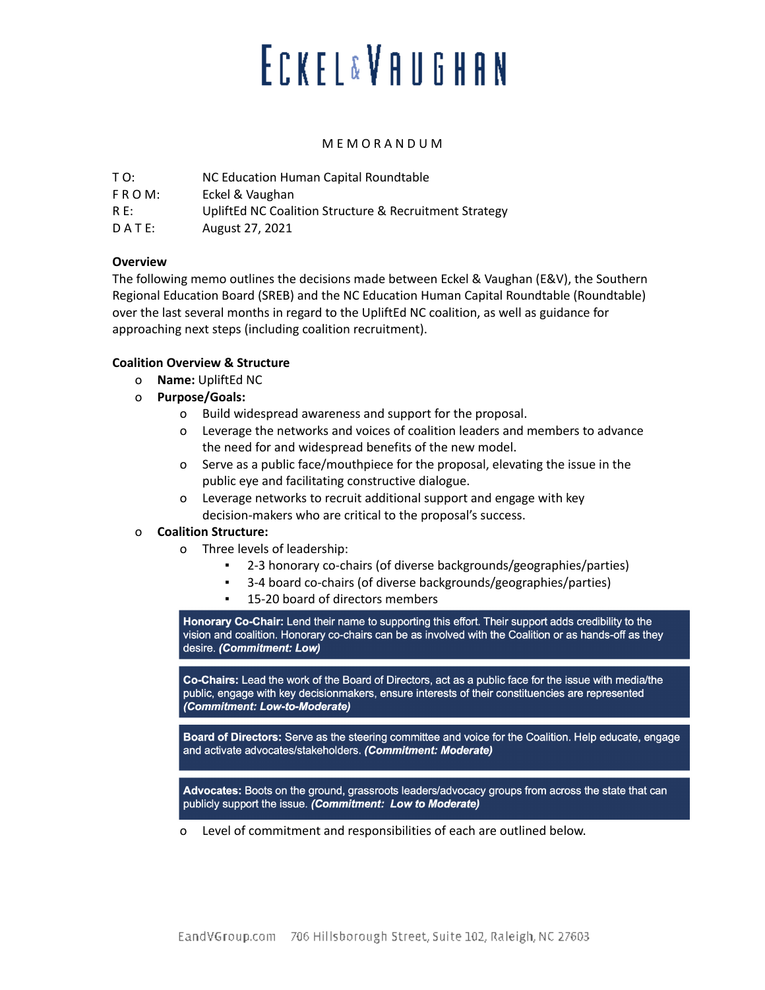# **ECKEL&VAUGHAN**

#### M E M O R A N D U M

| T O:        | NC Education Human Capital Roundtable                  |
|-------------|--------------------------------------------------------|
| $F R O M$ : | Eckel & Vaughan                                        |
| $R E$ :     | UpliftEd NC Coalition Structure & Recruitment Strategy |
| DATE:       | August 27, 2021                                        |

### **Overview**

The following memo outlines the decisions made between Eckel & Vaughan (E&V), the Southern Regional Education Board (SREB) and the NC Education Human Capital Roundtable (Roundtable) over the last several months in regard to the UpliftEd NC coalition, as well as guidance for approaching next steps (including coalition recruitment).

### **Coalition Overview & Structure**

- o **Name:** UpliftEd NC
- o **Purpose/Goals:**
	- o Build widespread awareness and support for the proposal.
	- o Leverage the networks and voices of coalition leaders and members to advance the need for and widespread benefits of the new model.
	- o Serve as a public face/mouthpiece for the proposal, elevating the issue in the public eye and facilitating constructive dialogue.
	- o Leverage networks to recruit additional support and engage with key decision-makers who are critical to the proposal's success.

### o **Coalition Structure:**

- o Three levels of leadership:
	- 2-3 honorary co-chairs (of diverse backgrounds/geographies/parties)
	- 3-4 board co-chairs (of diverse backgrounds/geographies/parties)
	- 15-20 board of directors members

Honorary Co-Chair: Lend their name to supporting this effort. Their support adds credibility to the vision and coalition. Honorary co-chairs can be as involved with the Coalition or as hands-off as they desire. (Commitment: Low)

Co-Chairs: Lead the work of the Board of Directors, act as a public face for the issue with media/the public, engage with key decisionmakers, ensure interests of their constituencies are represented (Commitment: Low-to-Moderate)

Board of Directors: Serve as the steering committee and voice for the Coalition. Help educate, engage and activate advocates/stakeholders. (Commitment: Moderate)

Advocates: Boots on the ground, grassroots leaders/advocacy groups from across the state that can publicly support the issue. (Commitment: Low to Moderate)

o Level of commitment and responsibilities of each are outlined below.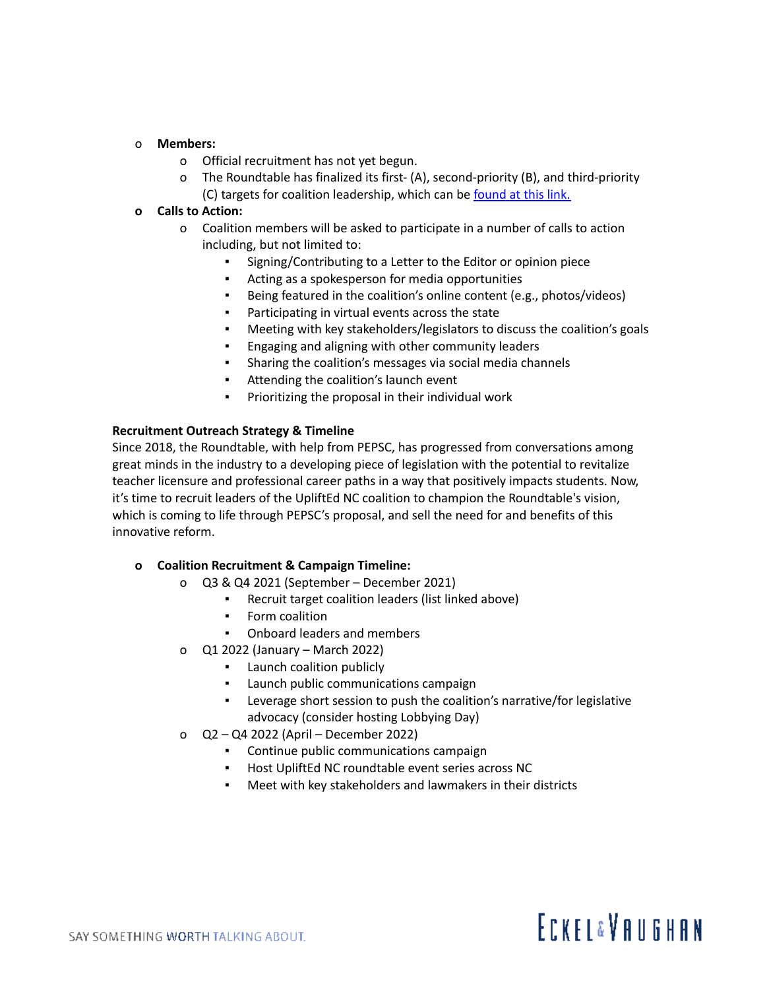#### o **Members:**

- o Official recruitment has not yet begun.
- o The Roundtable has finalized its first- (A), second-priority (B), and third-priority (C) targets for coalition leadership, which can be [found](https://docs.google.com/spreadsheets/d/1eHtRjm6PQ6CX0T_c6lQVmt7Eydu9EkgBq8FmYZwoYO4/edit#gid=1938605274) at this link.

#### **o Calls to Action:**

- o Coalition members will be asked to participate in a number of calls to action including, but not limited to:
	- Signing/Contributing to a Letter to the Editor or opinion piece
	- Acting as a spokesperson for media opportunities
	- Being featured in the coalition's online content (e.g., photos/videos)
	- Participating in virtual events across the state
	- Meeting with key stakeholders/legislators to discuss the coalition's goals
	- Engaging and aligning with other community leaders
	- Sharing the coalition's messages via social media channels
	- Attending the coalition's launch event
	- Prioritizing the proposal in their individual work

### **Recruitment Outreach Strategy & Timeline**

Since 2018, the Roundtable, with help from PEPSC, has progressed from conversations among great minds in the industry to a developing piece of legislation with the potential to revitalize teacher licensure and professional career paths in a way that positively impacts students. Now, it's time to recruit leaders of the UpliftEd NC coalition to champion the Roundtable's vision, which is coming to life through PEPSC's proposal, and sell the need for and benefits of this innovative reform.

### **o Coalition Recruitment & Campaign Timeline:**

- o Q3 & Q4 2021 (September December 2021)
	- Recruit target coalition leaders (list linked above)
	- Form coalition
	- Onboard leaders and members
- o Q1 2022 (January March 2022)
	- Launch coalition publicly
	- Launch public communications campaign
	- Leverage short session to push the coalition's narrative/for legislative advocacy (consider hosting Lobbying Day)
- o Q2 Q4 2022 (April December 2022)
	- Continue public communications campaign
	- Host UpliftEd NC roundtable event series across NC
	- Meet with key stakeholders and lawmakers in their districts

# **ECKFI&VANGHAN**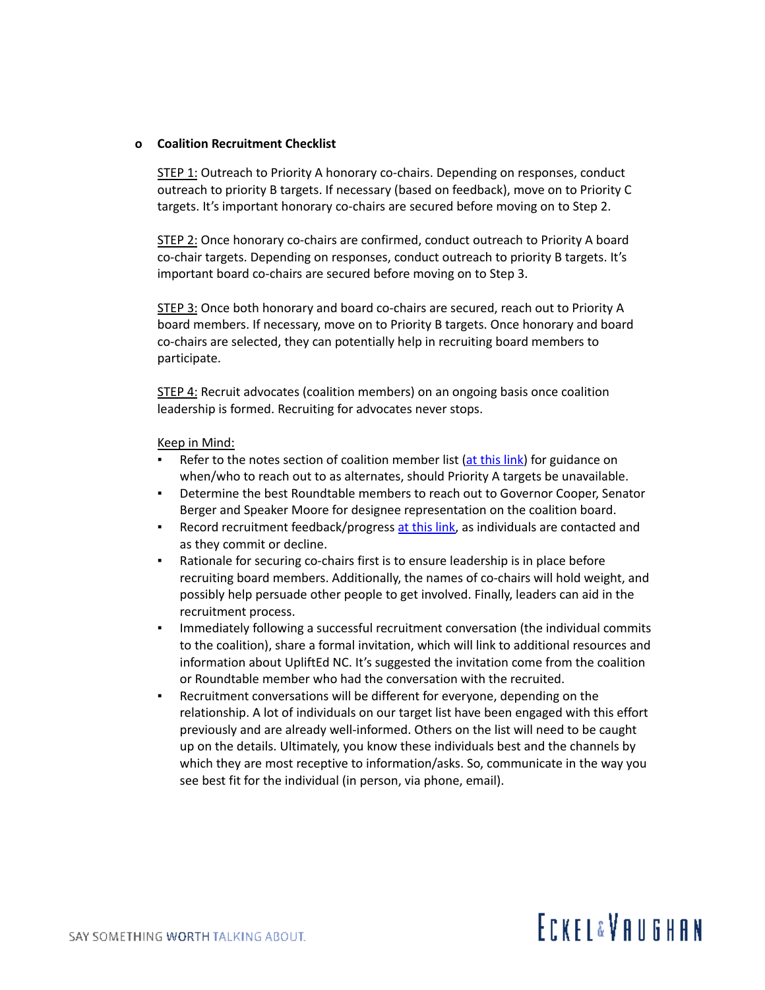#### **o Coalition Recruitment Checklist**

STEP 1: Outreach to Priority A honorary co-chairs. Depending on responses, conduct outreach to priority B targets. If necessary (based on feedback), move on to Priority C targets. It's important honorary co-chairs are secured before moving on to Step 2.

STEP 2: Once honorary co-chairs are confirmed, conduct outreach to Priority A board co-chair targets. Depending on responses, conduct outreach to priority B targets. It's important board co-chairs are secured before moving on to Step 3.

STEP 3: Once both honorary and board co-chairs are secured, reach out to Priority A board members. If necessary, move on to Priority B targets. Once honorary and board co-chairs are selected, they can potentially help in recruiting board members to participate.

**STEP 4:** Recruit advocates (coalition members) on an ongoing basis once coalition leadership is formed. Recruiting for advocates never stops.

#### Keep in Mind:

- Refer to the notes section of coalition member list  $(at this link)$  $(at this link)$  $(at this link)$  for guidance on when/who to reach out to as alternates, should Priority A targets be unavailable.
- **•** Determine the best Roundtable members to reach out to Governor Cooper, Senator Berger and Speaker Moore for designee representation on the coalition board.
- **EXECT** Record recruitment feedback/progress at this [link,](https://docs.google.com/spreadsheets/d/1eHtRjm6PQ6CX0T_c6lQVmt7Eydu9EkgBq8FmYZwoYO4/edit#gid=1938605274) as individuals are contacted and as they commit or decline.
- Rationale for securing co-chairs first is to ensure leadership is in place before recruiting board members. Additionally, the names of co-chairs will hold weight, and possibly help persuade other people to get involved. Finally, leaders can aid in the recruitment process.
- **•** Immediately following a successful recruitment conversation (the individual commits to the coalition), share a formal invitation, which will link to additional resources and information about UpliftEd NC. It's suggested the invitation come from the coalition or Roundtable member who had the conversation with the recruited.
- Recruitment conversations will be different for everyone, depending on the relationship. A lot of individuals on our target list have been engaged with this effort previously and are already well-informed. Others on the list will need to be caught up on the details. Ultimately, you know these individuals best and the channels by which they are most receptive to information/asks. So, communicate in the way you see best fit for the individual (in person, via phone, email).

## **ECKFI&VANGHAN**